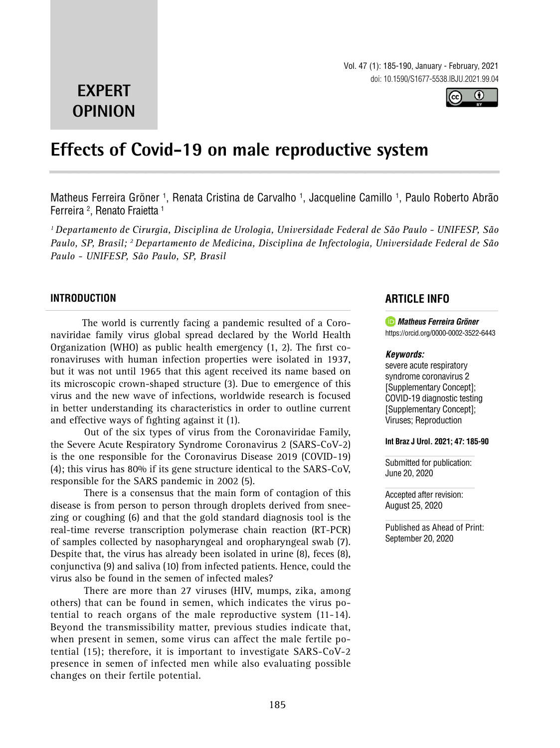Vol. 47 (1): 185-190, January - February, 2021 doi: 10.1590/S1677-5538.IBJU.2021.99.04



# **EXPERT OPINION**

# **Effects of Covid-19 on male reproductive system \_\_\_\_\_\_\_\_\_\_\_\_\_\_\_\_\_\_\_\_\_\_\_\_\_\_\_\_\_\_\_\_\_\_\_\_\_\_\_\_\_\_\_\_\_\_\_**

Matheus Ferreira Gröner <sup>1</sup>, Renata Cristina de Carvalho <sup>1</sup>, Jacqueline Camillo <sup>1</sup>, Paulo Roberto Abrão Ferreira 2 , Renato Fraietta 1

*1 Departamento de Cirurgia, Disciplina de Urologia, Universidade Federal de São Paulo - UNIFESP, São Paulo, SP, Brasil; 2 Departamento de Medicina, Disciplina de Infectologia, Universidade Federal de São Paulo - UNIFESP, São Paulo, SP, Brasil*

## **INTRODUCTION**

The world is currently facing a pandemic resulted of a Coronaviridae family virus global spread declared by the World Health Organization (WHO) as public health emergency (1, 2). The first coronaviruses with human infection properties were isolated in 1937, but it was not until 1965 that this agent received its name based on its microscopic crown-shaped structure (3). Due to emergence of this virus and the new wave of infections, worldwide research is focused in better understanding its characteristics in order to outline current and effective ways of fighting against it (1).

Out of the six types of virus from the Coronaviridae Family, the Severe Acute Respiratory Syndrome Coronavirus 2 (SARS-CoV-2) is the one responsible for the Coronavirus Disease 2019 (COVID-19) (4); this virus has 80% if its gene structure identical to the SARS-CoV, responsible for the SARS pandemic in 2002 (5).

There is a consensus that the main form of contagion of this disease is from person to person through droplets derived from sneezing or coughing (6) and that the gold standard diagnosis tool is the real-time reverse transcription polymerase chain reaction (RT-PCR) of samples collected by nasopharyngeal and oropharyngeal swab (7). Despite that, the virus has already been isolated in urine (8), feces (8), conjunctiva (9) and saliva (10) from infected patients. Hence, could the virus also be found in the semen of infected males?

There are more than 27 viruses (HIV, mumps, zika, among others) that can be found in semen, which indicates the virus potential to reach organs of the male reproductive system (11-14). Beyond the transmissibility matter, previous studies indicate that, when present in semen, some virus can affect the male fertile potential (15); therefore, it is important to investigate SARS-CoV-2 presence in semen of infected men while also evaluating possible changes on their fertile potential.

## **ARTICLE INFO**

*Matheus Ferreira Gröner* https://orcid.org/0000-0002-3522-6443

#### *Keywords:*

severe acute respiratory syndrome coronavirus 2 [Supplementary Concept]; COVID-19 diagnostic testing [Supplementary Concept]; Viruses; Reproduction

#### **Int Braz J Urol. 2021; 47: 185-90**

Submitted for publication: June 20, 2020

Accepted after revision: August 25, 2020

Published as Ahead of Print: September 20, 2020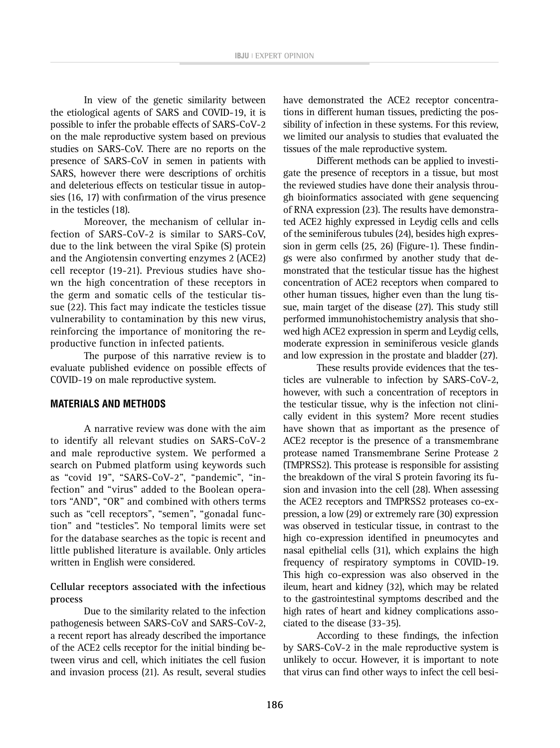In view of the genetic similarity between the etiological agents of SARS and COVID-19, it is possible to infer the probable effects of SARS-CoV-2 on the male reproductive system based on previous studies on SARS-CoV. There are no reports on the presence of SARS-CoV in semen in patients with SARS, however there were descriptions of orchitis and deleterious effects on testicular tissue in autopsies (16, 17) with confirmation of the virus presence in the testicles (18).

Moreover, the mechanism of cellular infection of SARS-CoV-2 is similar to SARS-CoV, due to the link between the viral Spike (S) protein and the Angiotensin converting enzymes 2 (ACE2) cell receptor (19-21). Previous studies have shown the high concentration of these receptors in the germ and somatic cells of the testicular tissue (22). This fact may indicate the testicles tissue vulnerability to contamination by this new virus, reinforcing the importance of monitoring the reproductive function in infected patients.

The purpose of this narrative review is to evaluate published evidence on possible effects of COVID-19 on male reproductive system.

#### **MATERIALS AND METHODS**

A narrative review was done with the aim to identify all relevant studies on SARS-CoV-2 and male reproductive system. We performed a search on Pubmed platform using keywords such as "covid 19", "SARS-CoV-2", "pandemic", "infection" and "virus" added to the Boolean operators "AND", "OR" and combined with others terms such as "cell receptors", "semen", "gonadal function" and "testicles". No temporal limits were set for the database searches as the topic is recent and little published literature is available. Only articles written in English were considered.

#### **Cellular receptors associated with the infectious process**

Due to the similarity related to the infection pathogenesis between SARS-CoV and SARS-CoV-2, a recent report has already described the importance of the ACE2 cells receptor for the initial binding between virus and cell, which initiates the cell fusion and invasion process (21). As result, several studies have demonstrated the ACE2 receptor concentrations in different human tissues, predicting the possibility of infection in these systems. For this review, we limited our analysis to studies that evaluated the tissues of the male reproductive system.

Different methods can be applied to investigate the presence of receptors in a tissue, but most the reviewed studies have done their analysis through bioinformatics associated with gene sequencing of RNA expression (23). The results have demonstrated ACE2 highly expressed in Leydig cells and cells of the seminiferous tubules (24), besides high expression in germ cells (25, 26) (Figure-1). These findings were also confirmed by another study that demonstrated that the testicular tissue has the highest concentration of ACE2 receptors when compared to other human tissues, higher even than the lung tissue, main target of the disease (27). This study still performed immunohistochemistry analysis that showed high ACE2 expression in sperm and Leydig cells, moderate expression in seminiferous vesicle glands and low expression in the prostate and bladder (27).

These results provide evidences that the testicles are vulnerable to infection by SARS-CoV-2, however, with such a concentration of receptors in the testicular tissue, why is the infection not clinically evident in this system? More recent studies have shown that as important as the presence of ACE2 receptor is the presence of a transmembrane protease named Transmembrane Serine Protease 2 (TMPRSS2). This protease is responsible for assisting the breakdown of the viral S protein favoring its fusion and invasion into the cell (28). When assessing the ACE2 receptors and TMPRSS2 proteases co-expression, a low (29) or extremely rare (30) expression was observed in testicular tissue, in contrast to the high co-expression identified in pneumocytes and nasal epithelial cells (31), which explains the high frequency of respiratory symptoms in COVID-19. This high co-expression was also observed in the ileum, heart and kidney (32), which may be related to the gastrointestinal symptoms described and the high rates of heart and kidney complications associated to the disease (33-35).

According to these findings, the infection by SARS-CoV-2 in the male reproductive system is unlikely to occur. However, it is important to note that virus can find other ways to infect the cell besi-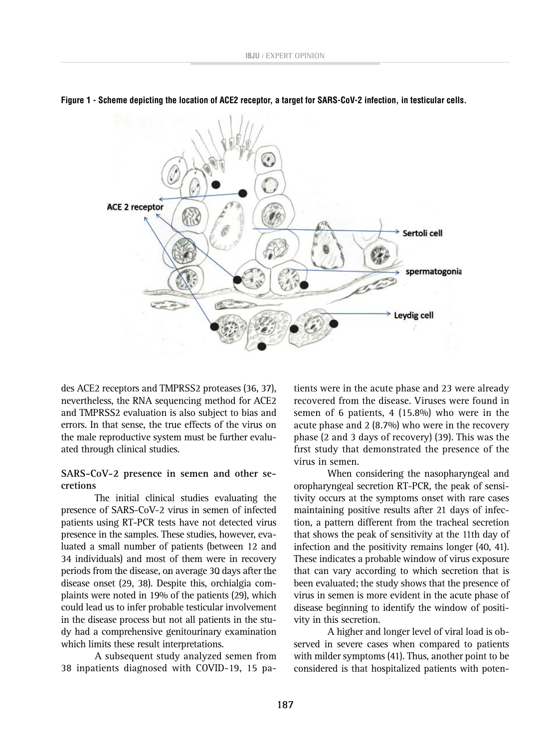

**Figure 1 - Scheme depicting the location of ACE2 receptor, a target for SARS-CoV-2 infection, in testicular cells.**

des ACE2 receptors and TMPRSS2 proteases (36, 37), nevertheless, the RNA sequencing method for ACE2 and TMPRSS2 evaluation is also subject to bias and errors. In that sense, the true effects of the virus on the male reproductive system must be further evaluated through clinical studies.

#### **SARS-CoV-2 presence in semen and other secretions**

The initial clinical studies evaluating the presence of SARS-CoV-2 virus in semen of infected patients using RT-PCR tests have not detected virus presence in the samples. These studies, however, evaluated a small number of patients (between 12 and 34 individuals) and most of them were in recovery periods from the disease, on average 30 days after the disease onset (29, 38). Despite this, orchialgia complaints were noted in 19% of the patients (29), which could lead us to infer probable testicular involvement in the disease process but not all patients in the study had a comprehensive genitourinary examination which limits these result interpretations.

A subsequent study analyzed semen from 38 inpatients diagnosed with COVID-19, 15 pa-

tients were in the acute phase and 23 were already recovered from the disease. Viruses were found in semen of 6 patients, 4 (15.8%) who were in the acute phase and 2 (8.7%) who were in the recovery phase (2 and 3 days of recovery) (39). This was the first study that demonstrated the presence of the virus in semen.

When considering the nasopharyngeal and oropharyngeal secretion RT-PCR, the peak of sensitivity occurs at the symptoms onset with rare cases maintaining positive results after 21 days of infection, a pattern different from the tracheal secretion that shows the peak of sensitivity at the 11th day of infection and the positivity remains longer (40, 41). These indicates a probable window of virus exposure that can vary according to which secretion that is been evaluated; the study shows that the presence of virus in semen is more evident in the acute phase of disease beginning to identify the window of positivity in this secretion.

A higher and longer level of viral load is observed in severe cases when compared to patients with milder symptoms (41). Thus, another point to be considered is that hospitalized patients with poten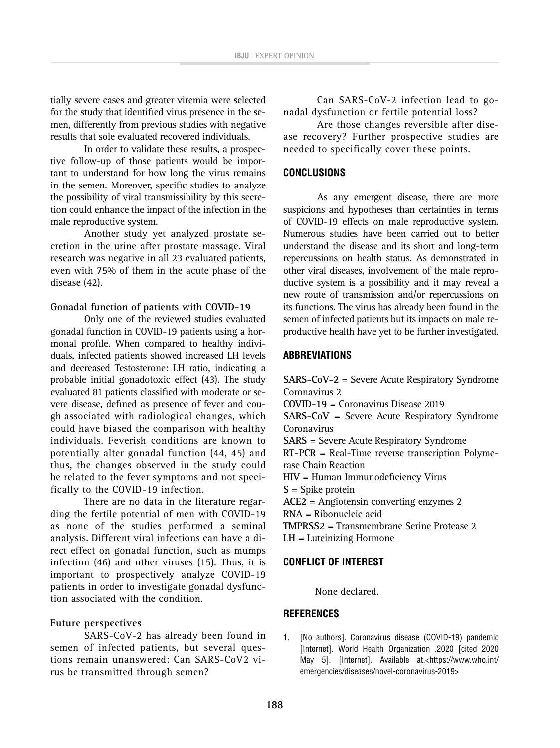tially severe cases and greater viremia were selected for the study that identified virus presence in the semen, differently from previous studies with negative results that sole evaluated recovered individuals.

In order to validate these results, a prospective follow-up of those patients would be important to understand for how long the virus remains in the semen. Moreover, specific studies to analyze the possibility of viral transmissibility by this secretion could enhance the impact of the infection in the male reproductive system.

Another study yet analyzed prostate secretion in the urine after prostate massage. Viral research was negative in all 23 evaluated patients, even with 75% of them in the acute phase of the disease (42).

## **Gonadal function of patients with COVID-19**

Only one of the reviewed studies evaluated gonadal function in COVID-19 patients using a hormonal profile. When compared to healthy individuals, infected patients showed increased LH levels and decreased Testosterone: LH ratio, indicating a probable initial gonadotoxic effect (43). The study evaluated 81 patients classified with moderate or severe disease, defined as presence of fever and cough associated with radiological changes, which could have biased the comparison with healthy individuals. Feverish conditions are known to potentially alter gonadal function (44, 45) and thus, the changes observed in the study could be related to the fever symptoms and not specifically to the COVID-19 infection.

There are no data in the literature regarding the fertile potential of men with COVID-19 as none of the studies performed a seminal analysis. Different viral infections can have a direct effect on gonadal function, such as mumps infection (46) and other viruses (15). Thus, it is important to prospectively analyze COVID-19 patients in order to investigate gonadal dysfunction associated with the condition.

## **Future perspectives**

SARS-CoV-2 has already been found in semen of infected patients, but several questions remain unanswered: Can SARS-CoV2 virus be transmitted through semen?

Can SARS-CoV-2 infection lead to gonadal dysfunction or fertile potential loss?

Are those changes reversible after disease recovery? Further prospective studies are needed to specifically cover these points.

# **CONCLUSIONS**

As any emergent disease, there are more suspicions and hypotheses than certainties in terms of COVID-19 effects on male reproductive system. Numerous studies have been carried out to better understand the disease and its short and long-term repercussions on health status. As demonstrated in other viral diseases, involvement of the male reproductive system is a possibility and it may reveal a new route of transmission and/or repercussions on its functions. The virus has already been found in the semen of infected patients but its impacts on male reproductive health have yet to be further investigated.

## **ABBREVIATIONS**

**SARS-CoV-2** = Severe Acute Respiratory Syndrome Coronavirus 2 **COVID-19** = Coronavirus Disease 2019 **SARS-CoV** = Severe Acute Respiratory Syndrome Coronavirus **SARS** = Severe Acute Respiratory Syndrome **RT-PCR** = Real-Time reverse transcription Polymerase Chain Reaction **HIV** = Human Immunodeficiency Virus **S** = Spike protein **ACE2** = Angiotensin converting enzymes 2 **RNA** = Ribonucleic acid **TMPRSS2** = Transmembrane Serine Protease 2 **LH** = Luteinizing Hormone

## **CONFLICT OF INTEREST**

None declared.

## **REFERENCES**

1. [No authors]. Coronavirus disease (COVID-19) pandemic [Internet]. World Health Organization .2020 [cited 2020 May 5]. [Internet]. Available at.<https://www.who.int/ emergencies/diseases/novel-coronavirus-2019>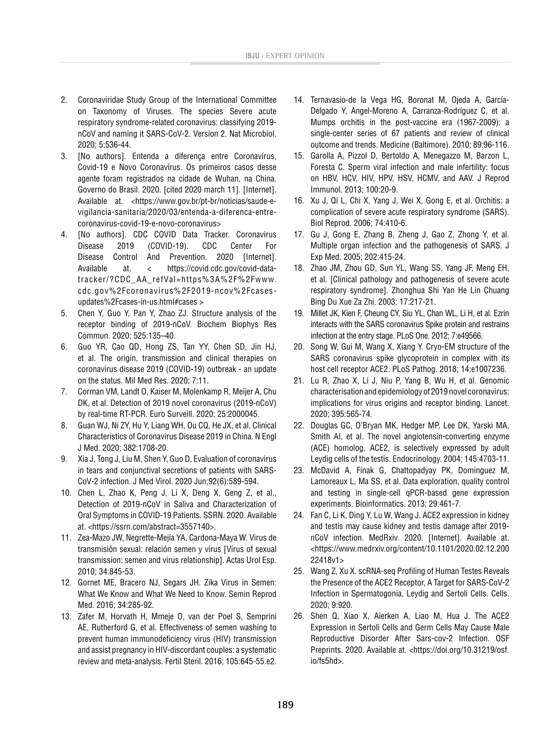- 2. Coronaviridae Study Group of the International Committee on Taxonomy of Viruses. The species Severe acute respiratory syndrome-related coronavirus: classifying 2019 nCoV and naming it SARS-CoV-2. Version 2. Nat Microbiol. 2020; 5:536-44.
- 3. [No authors]. Entenda a diferença entre Coronavírus, Covid-19 e Novo Coronavírus. Os primeiros casos desse agente foram registrados na cidade de Wuhan, na China. Governo do Brasil. 2020. [cited 2020 march 11]. [Internet]. Available at. <https://www.gov.br/pt-br/noticias/saude-evigilancia-sanitaria/2020/03/entenda-a-diferenca-entrecoronavirus-covid-19-e-novo-coronavirus>
- 4. [No authors]. CDC COVID Data Tracker. Coronavirus Disease 2019 (COVID-19). CDC Center For Disease Control And Prevention. 2020 [Internet]. Available at. < https://covid.cdc.gov/covid-datatracker/?CDC\_AA\_refVal=https%3A%2F%2Fwww. cdc.gov%2Fcoronavirus%2F2019-ncov%2Fcasesupdates%2Fcases-in-us.html#cases >
- 5. Chen Y, Guo Y, Pan Y, Zhao ZJ. Structure analysis of the receptor binding of 2019-nCoV. Biochem Biophys Res Commun. 2020; 525:135–40.
- 6. Guo YR, Cao QD, Hong ZS, Tan YY, Chen SD, Jin HJ, et al. The origin, transmission and clinical therapies on coronavirus disease 2019 (COVID-19) outbreak - an update on the status. Mil Med Res. 2020; 7:11.
- 7. Corman VM, Landt O, Kaiser M, Molenkamp R, Meijer A, Chu DK, et al. Detection of 2019 novel coronavirus (2019-nCoV) by real-time RT-PCR. Euro Surveill. 2020; 25:2000045.
- 8. Guan WJ, Ni ZY, Hu Y, Liang WH, Ou CQ, He JX, et al. Clinical Characteristics of Coronavirus Disease 2019 in China. N Engl J Med. 2020; 382:1708-20.
- 9. Xia J, Tong J, Liu M, Shen Y, Guo D. Evaluation of coronavirus in tears and conjunctival secretions of patients with SARS-CoV-2 infection. J Med Virol. 2020 Jun;92(6):589-594.
- 10. Chen L, Zhao K, Peng J, Li X, Deng X, Geng Z, et al., Detection of 2019-nCoV in Saliva and Characterization of Oral Symptoms in COVID-19 Patients. SSRN. 2020. Available at. <https://ssrn.com/abstract=3557140>.
- 11. Zea-Mazo JW, Negrette-Mejía YA, Cardona-Maya W. Virus de transmisión sexual: relación semen y virus [Virus of sexual transmission: semen and virus relationship]. Actas Urol Esp. 2010; 34:845-53.
- 12. Gornet ME, Bracero NJ, Segars JH. Zika Virus in Semen: What We Know and What We Need to Know. Semin Reprod Med. 2016; 34:285-92.
- 13. Zafer M, Horvath H, Mmeje O, van der Poel S, Semprini AE, Rutherford G, et al. Effectiveness of semen washing to prevent human immunodeficiency virus (HIV) transmission and assist pregnancy in HIV-discordant couples: a systematic review and meta-analysis. Fertil Steril. 2016; 105:645-55.e2.
- 14. Ternavasio-de la Vega HG, Boronat M, Ojeda A, García-Delgado Y, Angel-Moreno A, Carranza-Rodríguez C, et al. Mumps orchitis in the post-vaccine era (1967-2009): a single-center series of 67 patients and review of clinical outcome and trends. Medicine (Baltimore). 2010; 89:96-116.
- 15. Garolla A, Pizzol D, Bertoldo A, Menegazzo M, Barzon L, Foresta C. Sperm viral infection and male infertility: focus on HBV, HCV, HIV, HPV, HSV, HCMV, and AAV. J Reprod Immunol. 2013; 100:20-9.
- 16. Xu J, Qi L, Chi X, Yang J, Wei X, Gong E, et al. Orchitis: a complication of severe acute respiratory syndrome (SARS). Biol Reprod. 2006; 74:410-6.
- 17. Gu J, Gong E, Zhang B, Zheng J, Gao Z, Zhong Y, et al. Multiple organ infection and the pathogenesis of SARS. J Exp Med. 2005; 202:415-24.
- 18. Zhao JM, Zhou GD, Sun YL, Wang SS, Yang JF, Meng EH, et al. [Clinical pathology and pathogenesis of severe acute respiratory syndrome]. Zhonghua Shi Yan He Lin Chuang Bing Du Xue Za Zhi. 2003; 17:217-21.
- 19. Millet JK, Kien F, Cheung CY, Siu YL, Chan WL, Li H, et al. Ezrin interacts with the SARS coronavirus Spike protein and restrains infection at the entry stage. PLoS One. 2012; 7:e49566.
- 20. Song W, Gui M, Wang X, Xiang Y. Cryo-EM structure of the SARS coronavirus spike glycoprotein in complex with its host cell receptor ACE2. PLoS Pathog. 2018; 14:e1007236.
- 21. Lu R, Zhao X, Li J, Niu P, Yang B, Wu H, et al. Genomic characterisation and epidemiology of 2019 novel coronavirus: implications for virus origins and receptor binding. Lancet. 2020; 395:565-74.
- 22. Douglas GC, O'Bryan MK, Hedger MP, Lee DK, Yarski MA, Smith AI, et al. The novel angiotensin-converting enzyme (ACE) homolog, ACE2, is selectively expressed by adult Leydig cells of the testis. Endocrinology. 2004; 145:4703-11.
- 23. McDavid A, Finak G, Chattopadyay PK, Dominguez M, Lamoreaux L, Ma SS, et al. Data exploration, quality control and testing in single-cell qPCR-based gene expression experiments. Bioinformatics. 2013; 29:461-7.
- 24. Fan C, Li K, Ding Y, Lu W, Wang J. ACE2 expression in kidney and testis may cause kidney and testis damage after 2019 nCoV infection. MedRxiv. 2020. [Internet]. Available at. <https://www.medrxiv.org/content/10.1101/2020.02.12.200 22418v1>
- 25. Wang Z, Xu X. scRNA-seq Profiling of Human Testes Reveals the Presence of the ACE2 Receptor, A Target for SARS-CoV-2 Infection in Spermatogonia, Leydig and Sertoli Cells. Cells. 2020; 9:920.
- 26. Shen Q, Xiao X, Aierken A, Liao M, Hua J. The ACE2 Expression in Sertoli Cells and Germ Cells May Cause Male Reproductive Disorder After Sars-cov-2 Infection. OSF Preprints. 2020. Available at. <https://doi.org/10.31219/osf. io/fs5hd>.